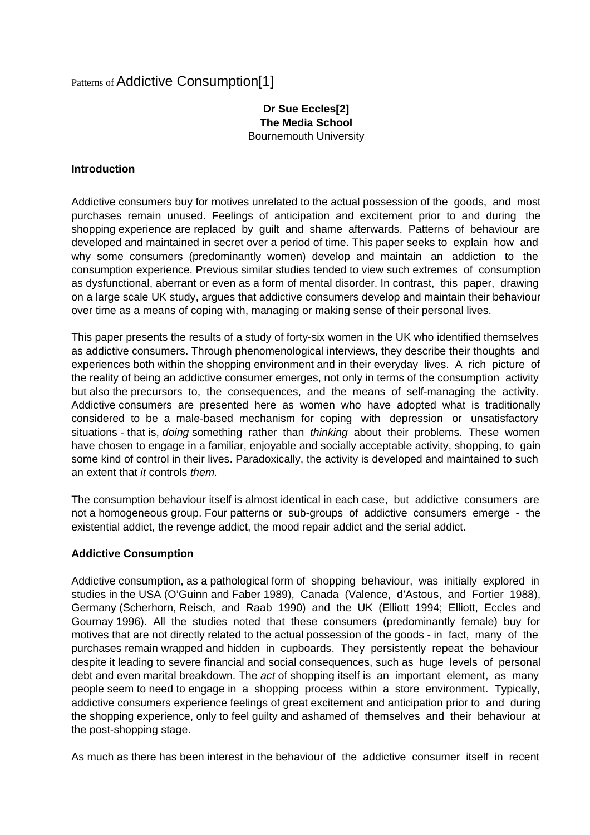# Patterns of Addictive Consumption[1]

#### **Dr Sue Eccles[2] The Media School** Bournemouth University

#### **Introduction**

Addictive consumers buy for motives unrelated to the actual possession of the goods, and most purchases remain unused. Feelings of anticipation and excitement prior to and during the shopping experience are replaced by guilt and shame afterwards. Patterns of behaviour are developed and maintained in secret over a period of time. This paper seeks to explain how and why some consumers (predominantly women) develop and maintain an addiction to the consumption experience. Previous similar studies tended to view such extremes of consumption as dysfunctional, aberrant or even as a form of mental disorder. In contrast, this paper, drawing on a large scale UK study, argues that addictive consumers develop and maintain their behaviour over time as a means of coping with, managing or making sense of their personal lives.

This paper presents the results of a study of forty-six women in the UK who identified themselves as addictive consumers. Through phenomenological interviews, they describe their thoughts and experiences both within the shopping environment and in their everyday lives. A rich picture of the reality of being an addictive consumer emerges, not only in terms of the consumption activity but also the precursors to, the consequences, and the means of self-managing the activity. Addictive consumers are presented here as women who have adopted what is traditionally considered to be a male-based mechanism for coping with depression or unsatisfactory situations - that is, *doing* something rather than *thinking* about their problems. These women have chosen to engage in a familiar, enjoyable and socially acceptable activity, shopping, to gain some kind of control in their lives. Paradoxically, the activity is developed and maintained to such an extent that it controls them.

The consumption behaviour itself is almost identical in each case, but addictive consumers are not a homogeneous group. Four patterns or sub-groups of addictive consumers emerge - the existential addict, the revenge addict, the mood repair addict and the serial addict.

#### **Addictive Consumption**

Addictive consumption, as a pathological form of shopping behaviour, was initially explored in studies in the USA (O'Guinn and Faber 1989), Canada (Valence, d'Astous, and Fortier 1988), Germany (Scherhorn, Reisch, and Raab 1990) and the UK (Elliott 1994; Elliott, Eccles and Gournay 1996). All the studies noted that these consumers (predominantly female) buy for motives that are not directly related to the actual possession of the goods - in fact, many of the purchases remain wrapped and hidden in cupboards. They persistently repeat the behaviour despite it leading to severe financial and social consequences, such as huge levels of personal debt and even marital breakdown. The act of shopping itself is an important element, as many people seem to need to engage in a shopping process within a store environment. Typically, addictive consumers experience feelings of great excitement and anticipation prior to and during the shopping experience, only to feel guilty and ashamed of themselves and their behaviour at the post-shopping stage.

As much as there has been interest in the behaviour of the addictive consumer itself in recent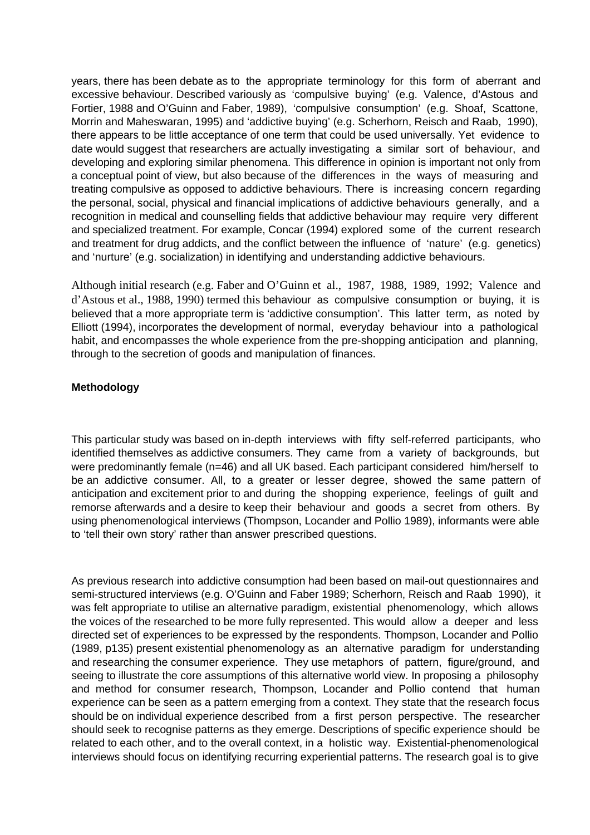years, there has been debate as to the appropriate terminology for this form of aberrant and excessive behaviour. Described variously as 'compulsive buying' (e.g. Valence, d'Astous and Fortier, 1988 and O'Guinn and Faber, 1989), 'compulsive consumption' (e.g. Shoaf, Scattone, Morrin and Maheswaran, 1995) and 'addictive buying' (e.g. Scherhorn, Reisch and Raab, 1990), there appears to be little acceptance of one term that could be used universally. Yet evidence to date would suggest that researchers are actually investigating a similar sort of behaviour, and developing and exploring similar phenomena. This difference in opinion is important not only from a conceptual point of view, but also because of the differences in the ways of measuring and treating compulsive as opposed to addictive behaviours. There is increasing concern regarding the personal, social, physical and financial implications of addictive behaviours generally, and a recognition in medical and counselling fields that addictive behaviour may require very different and specialized treatment. For example, Concar (1994) explored some of the current research and treatment for drug addicts, and the conflict between the influence of 'nature' (e.g. genetics) and 'nurture' (e.g. socialization) in identifying and understanding addictive behaviours.

Although initial research (e.g. Faber and O'Guinn et al., 1987, 1988, 1989, 1992; Valence and d'Astous et al., 1988, 1990) termed this behaviour as compulsive consumption or buying, it is believed that a more appropriate term is 'addictive consumption'. This latter term, as noted by Elliott (1994), incorporates the development of normal, everyday behaviour into a pathological habit, and encompasses the whole experience from the pre-shopping anticipation and planning, through to the secretion of goods and manipulation of finances.

# **Methodology**

This particular study was based on in-depth interviews with fifty self-referred participants, who identified themselves as addictive consumers. They came from a variety of backgrounds, but were predominantly female (n=46) and all UK based. Each participant considered him/herself to be an addictive consumer. All, to a greater or lesser degree, showed the same pattern of anticipation and excitement prior to and during the shopping experience, feelings of guilt and remorse afterwards and a desire to keep their behaviour and goods a secret from others. By using phenomenological interviews (Thompson, Locander and Pollio 1989), informants were able to 'tell their own story' rather than answer prescribed questions.

As previous research into addictive consumption had been based on mail-out questionnaires and semi-structured interviews (e.g. O'Guinn and Faber 1989; Scherhorn, Reisch and Raab 1990), it was felt appropriate to utilise an alternative paradigm, existential phenomenology, which allows the voices of the researched to be more fully represented. This would allow a deeper and less directed set of experiences to be expressed by the respondents. Thompson, Locander and Pollio (1989, p135) present existential phenomenology as an alternative paradigm for understanding and researching the consumer experience. They use metaphors of pattern, figure/ground, and seeing to illustrate the core assumptions of this alternative world view. In proposing a philosophy and method for consumer research, Thompson, Locander and Pollio contend that human experience can be seen as a pattern emerging from a context. They state that the research focus should be on individual experience described from a first person perspective. The researcher should seek to recognise patterns as they emerge. Descriptions of specific experience should be related to each other, and to the overall context, in a holistic way. Existential-phenomenological interviews should focus on identifying recurring experiential patterns. The research goal is to give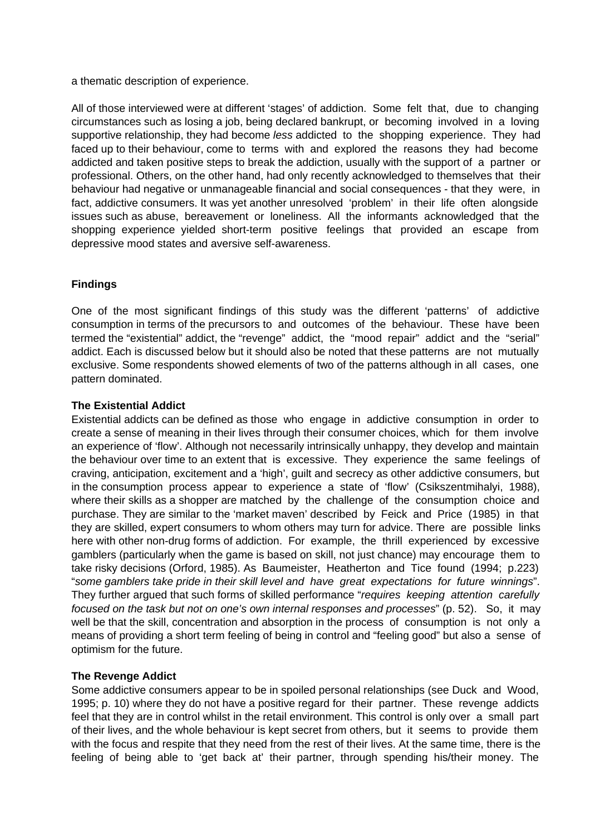a thematic description of experience.

All of those interviewed were at different 'stages' of addiction. Some felt that, due to changing circumstances such as losing a job, being declared bankrupt, or becoming involved in a loving supportive relationship, they had become less addicted to the shopping experience. They had faced up to their behaviour, come to terms with and explored the reasons they had become addicted and taken positive steps to break the addiction, usually with the support of a partner or professional. Others, on the other hand, had only recently acknowledged to themselves that their behaviour had negative or unmanageable financial and social consequences - that they were, in fact, addictive consumers. It was yet another unresolved 'problem' in their life often alongside issues such as abuse, bereavement or loneliness. All the informants acknowledged that the shopping experience yielded short-term positive feelings that provided an escape from depressive mood states and aversive self-awareness.

# **Findings**

One of the most significant findings of this study was the different 'patterns' of addictive consumption in terms of the precursors to and outcomes of the behaviour. These have been termed the "existential" addict, the "revenge" addict, the "mood repair" addict and the "serial" addict. Each is discussed below but it should also be noted that these patterns are not mutually exclusive. Some respondents showed elements of two of the patterns although in all cases, one pattern dominated.

#### **The Existential Addict**

Existential addicts can be defined as those who engage in addictive consumption in order to create a sense of meaning in their lives through their consumer choices, which for them involve an experience of 'flow'. Although not necessarily intrinsically unhappy, they develop and maintain the behaviour over time to an extent that is excessive. They experience the same feelings of craving, anticipation, excitement and a 'high', guilt and secrecy as other addictive consumers, but in the consumption process appear to experience a state of 'flow' (Csikszentmihalyi, 1988), where their skills as a shopper are matched by the challenge of the consumption choice and purchase. They are similar to the 'market maven' described by Feick and Price (1985) in that they are skilled, expert consumers to whom others may turn for advice. There are possible links here with other non-drug forms of addiction. For example, the thrill experienced by excessive gamblers (particularly when the game is based on skill, not just chance) may encourage them to take risky decisions (Orford, 1985). As Baumeister, Heatherton and Tice found (1994; p.223) "some gamblers take pride in their skill level and have great expectations for future winnings". They further argued that such forms of skilled performance "requires keeping attention carefully focused on the task but not on one's own internal responses and processes" (p. 52). So, it may well be that the skill, concentration and absorption in the process of consumption is not only a means of providing a short term feeling of being in control and "feeling good" but also a sense of optimism for the future.

#### **The Revenge Addict**

Some addictive consumers appear to be in spoiled personal relationships (see Duck and Wood, 1995; p. 10) where they do not have a positive regard for their partner. These revenge addicts feel that they are in control whilst in the retail environment. This control is only over a small part of their lives, and the whole behaviour is kept secret from others, but it seems to provide them with the focus and respite that they need from the rest of their lives. At the same time, there is the feeling of being able to 'get back at' their partner, through spending his/their money. The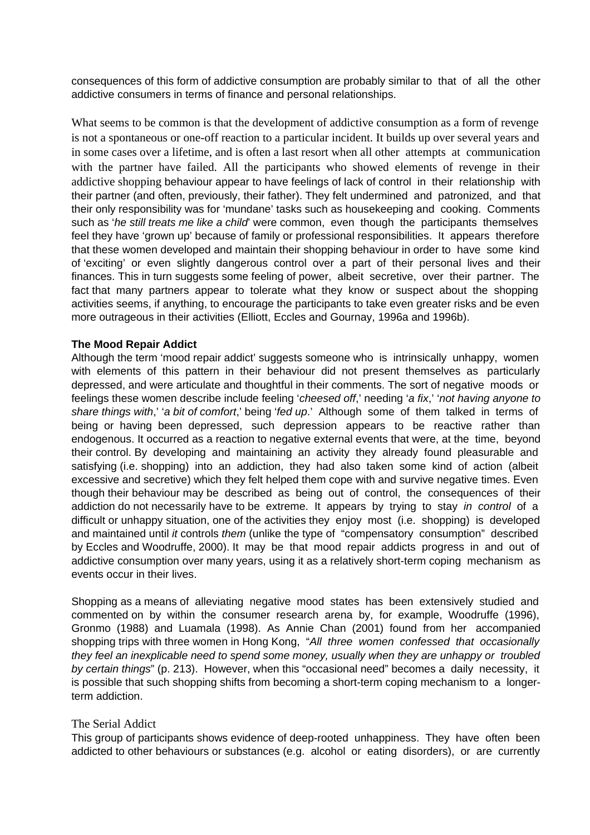consequences of this form of addictive consumption are probably similar to that of all the other addictive consumers in terms of finance and personal relationships.

What seems to be common is that the development of addictive consumption as a form of revenge is not a spontaneous or one-off reaction to a particular incident. It builds up over several years and in some cases over a lifetime, and is often a last resort when all other attempts at communication with the partner have failed. All the participants who showed elements of revenge in their addictive shopping behaviour appear to have feelings of lack of control in their relationship with their partner (and often, previously, their father). They felt undermined and patronized, and that their only responsibility was for 'mundane' tasks such as housekeeping and cooking. Comments such as 'he still treats me like a child' were common, even though the participants themselves feel they have 'grown up' because of family or professional responsibilities. It appears therefore that these women developed and maintain their shopping behaviour in order to have some kind of 'exciting' or even slightly dangerous control over a part of their personal lives and their finances. This in turn suggests some feeling of power, albeit secretive, over their partner. The fact that many partners appear to tolerate what they know or suspect about the shopping activities seems, if anything, to encourage the participants to take even greater risks and be even more outrageous in their activities (Elliott, Eccles and Gournay, 1996a and 1996b).

#### **The Mood Repair Addict**

Although the term 'mood repair addict' suggests someone who is intrinsically unhappy, women with elements of this pattern in their behaviour did not present themselves as particularly depressed, and were articulate and thoughtful in their comments. The sort of negative moods or feelings these women describe include feeling 'cheesed off,' needing 'a fix,' 'not having anyone to share things with,' 'a bit of comfort,' being 'fed up.' Although some of them talked in terms of being or having been depressed, such depression appears to be reactive rather than endogenous. It occurred as a reaction to negative external events that were, at the time, beyond their control. By developing and maintaining an activity they already found pleasurable and satisfying (i.e. shopping) into an addiction, they had also taken some kind of action (albeit excessive and secretive) which they felt helped them cope with and survive negative times. Even though their behaviour may be described as being out of control, the consequences of their addiction do not necessarily have to be extreme. It appears by trying to stay in control of a difficult or unhappy situation, one of the activities they enjoy most (i.e. shopping) is developed and maintained until *it* controls them (unlike the type of "compensatory consumption" described by Eccles and Woodruffe, 2000). It may be that mood repair addicts progress in and out of addictive consumption over many years, using it as a relatively short-term coping mechanism as events occur in their lives.

Shopping as a means of alleviating negative mood states has been extensively studied and commented on by within the consumer research arena by, for example, Woodruffe (1996), Gronmo (1988) and Luamala (1998). As Annie Chan (2001) found from her accompanied shopping trips with three women in Hong Kong, "All three women confessed that occasionally they feel an inexplicable need to spend some money, usually when they are unhappy or troubled by certain things" (p. 213). However, when this "occasional need" becomes a daily necessity, it is possible that such shopping shifts from becoming a short-term coping mechanism to a longerterm addiction.

#### The Serial Addict

This group of participants shows evidence of deep-rooted unhappiness. They have often been addicted to other behaviours or substances (e.g. alcohol or eating disorders), or are currently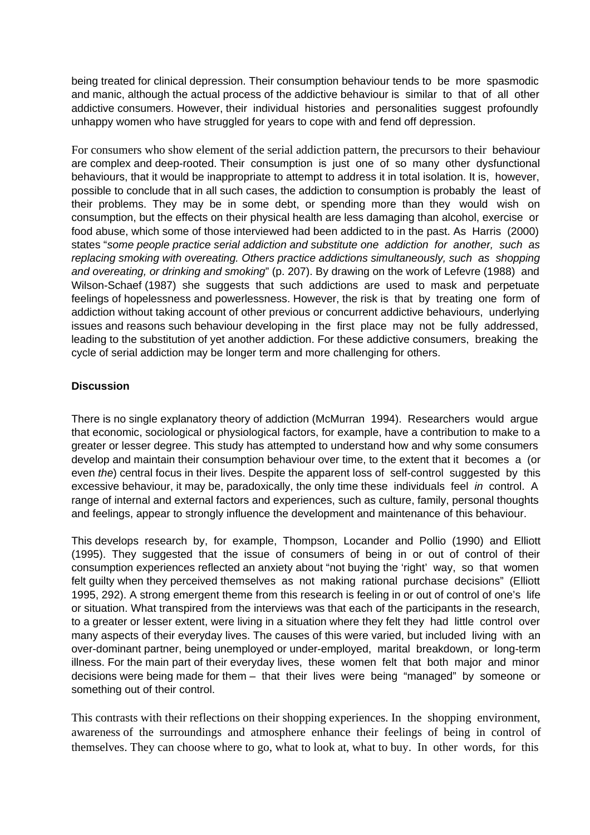being treated for clinical depression. Their consumption behaviour tends to be more spasmodic and manic, although the actual process of the addictive behaviour is similar to that of all other addictive consumers. However, their individual histories and personalities suggest profoundly unhappy women who have struggled for years to cope with and fend off depression.

For consumers who show element of the serial addiction pattern, the precursors to their behaviour are complex and deep-rooted. Their consumption is just one of so many other dysfunctional behaviours, that it would be inappropriate to attempt to address it in total isolation. It is, however, possible to conclude that in all such cases, the addiction to consumption is probably the least of their problems. They may be in some debt, or spending more than they would wish on consumption, but the effects on their physical health are less damaging than alcohol, exercise or food abuse, which some of those interviewed had been addicted to in the past. As Harris (2000) states "some people practice serial addiction and substitute one addiction for another, such as replacing smoking with overeating. Others practice addictions simultaneously, such as shopping and overeating, or drinking and smoking" (p. 207). By drawing on the work of Lefevre (1988) and Wilson-Schaef (1987) she suggests that such addictions are used to mask and perpetuate feelings of hopelessness and powerlessness. However, the risk is that by treating one form of addiction without taking account of other previous or concurrent addictive behaviours, underlying issues and reasons such behaviour developing in the first place may not be fully addressed, leading to the substitution of yet another addiction. For these addictive consumers, breaking the cycle of serial addiction may be longer term and more challenging for others.

# **Discussion**

There is no single explanatory theory of addiction (McMurran 1994). Researchers would argue that economic, sociological or physiological factors, for example, have a contribution to make to a greater or lesser degree. This study has attempted to understand how and why some consumers develop and maintain their consumption behaviour over time, to the extent that it becomes a (or even the) central focus in their lives. Despite the apparent loss of self-control suggested by this excessive behaviour, it may be, paradoxically, the only time these individuals feel *in* control. A range of internal and external factors and experiences, such as culture, family, personal thoughts and feelings, appear to strongly influence the development and maintenance of this behaviour.

This develops research by, for example, Thompson, Locander and Pollio (1990) and Elliott (1995). They suggested that the issue of consumers of being in or out of control of their consumption experiences reflected an anxiety about "not buying the 'right' way, so that women felt guilty when they perceived themselves as not making rational purchase decisions" (Elliott 1995, 292). A strong emergent theme from this research is feeling in or out of control of one's life or situation. What transpired from the interviews was that each of the participants in the research, to a greater or lesser extent, were living in a situation where they felt they had little control over many aspects of their everyday lives. The causes of this were varied, but included living with an over-dominant partner, being unemployed or under-employed, marital breakdown, or long-term illness. For the main part of their everyday lives, these women felt that both major and minor decisions were being made for them – that their lives were being "managed" by someone or something out of their control.

This contrasts with their reflections on their shopping experiences. In the shopping environment, awareness of the surroundings and atmosphere enhance their feelings of being in control of themselves. They can choose where to go, what to look at, what to buy. In other words, for this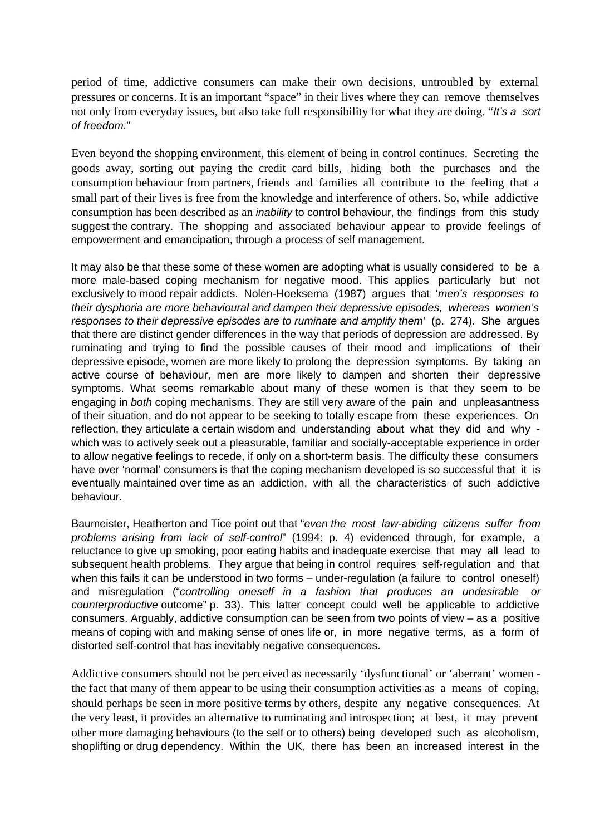period of time, addictive consumers can make their own decisions, untroubled by external pressures or concerns. It is an important "space" in their lives where they can remove themselves not only from everyday issues, but also take full responsibility for what they are doing. "It's a sort of freedom."

Even beyond the shopping environment, this element of being in control continues. Secreting the goods away, sorting out paying the credit card bills, hiding both the purchases and the consumption behaviour from partners, friends and families all contribute to the feeling that a small part of their lives is free from the knowledge and interference of others. So, while addictive consumption has been described as an *inability* to control behaviour, the findings from this study suggest the contrary. The shopping and associated behaviour appear to provide feelings of empowerment and emancipation, through a process of self management.

It may also be that these some of these women are adopting what is usually considered to be a more male-based coping mechanism for negative mood. This applies particularly but not exclusively to mood repair addicts. Nolen-Hoeksema (1987) argues that 'men's responses to their dysphoria are more behavioural and dampen their depressive episodes, whereas women's responses to their depressive episodes are to ruminate and amplify them' (p. 274). She argues that there are distinct gender differences in the way that periods of depression are addressed. By ruminating and trying to find the possible causes of their mood and implications of their depressive episode, women are more likely to prolong the depression symptoms. By taking an active course of behaviour, men are more likely to dampen and shorten their depressive symptoms. What seems remarkable about many of these women is that they seem to be engaging in both coping mechanisms. They are still very aware of the pain and unpleasantness of their situation, and do not appear to be seeking to totally escape from these experiences. On reflection, they articulate a certain wisdom and understanding about what they did and why which was to actively seek out a pleasurable, familiar and socially-acceptable experience in order to allow negative feelings to recede, if only on a short-term basis. The difficulty these consumers have over 'normal' consumers is that the coping mechanism developed is so successful that it is eventually maintained over time as an addiction, with all the characteristics of such addictive behaviour.

Baumeister, Heatherton and Tice point out that "even the most law-abiding citizens suffer from problems arising from lack of self-control" (1994: p. 4) evidenced through, for example, a reluctance to give up smoking, poor eating habits and inadequate exercise that may all lead to subsequent health problems. They argue that being in control requires self-regulation and that when this fails it can be understood in two forms – under-regulation (a failure to control oneself) and misregulation ("controlling oneself in a fashion that produces an undesirable or counterproductive outcome" p. 33). This latter concept could well be applicable to addictive consumers. Arguably, addictive consumption can be seen from two points of view – as a positive means of coping with and making sense of ones life or, in more negative terms, as a form of distorted self-control that has inevitably negative consequences.

Addictive consumers should not be perceived as necessarily 'dysfunctional' or 'aberrant' women the fact that many of them appear to be using their consumption activities as a means of coping, should perhaps be seen in more positive terms by others, despite any negative consequences. At the very least, it provides an alternative to ruminating and introspection; at best, it may prevent other more damaging behaviours (to the self or to others) being developed such as alcoholism, shoplifting or drug dependency. Within the UK, there has been an increased interest in the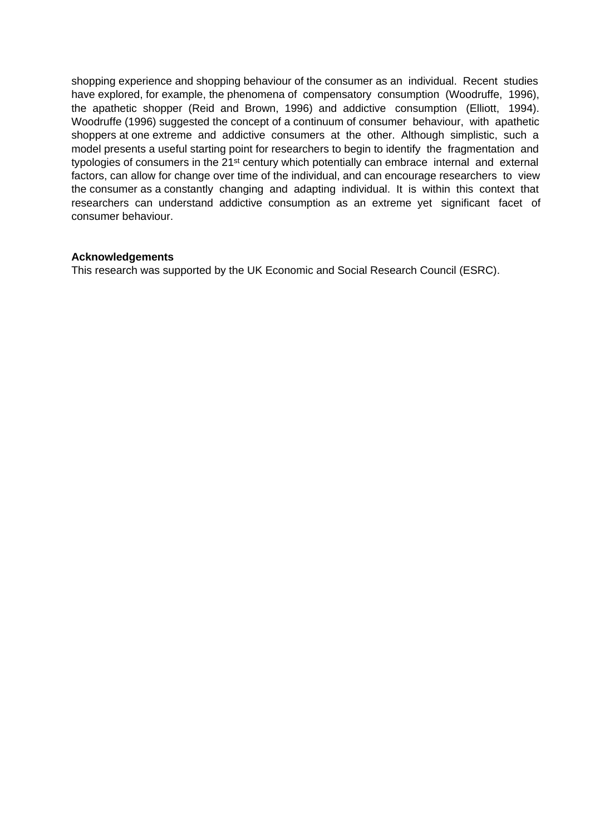shopping experience and shopping behaviour of the consumer as an individual. Recent studies have explored, for example, the phenomena of compensatory consumption (Woodruffe, 1996), the apathetic shopper (Reid and Brown, 1996) and addictive consumption (Elliott, 1994). Woodruffe (1996) suggested the concept of a continuum of consumer behaviour, with apathetic shoppers at one extreme and addictive consumers at the other. Although simplistic, such a model presents a useful starting point for researchers to begin to identify the fragmentation and typologies of consumers in the 21<sup>st</sup> century which potentially can embrace internal and external factors, can allow for change over time of the individual, and can encourage researchers to view the consumer as a constantly changing and adapting individual. It is within this context that researchers can understand addictive consumption as an extreme yet significant facet of consumer behaviour.

# **Acknowledgements**

This research was supported by the UK Economic and Social Research Council (ESRC).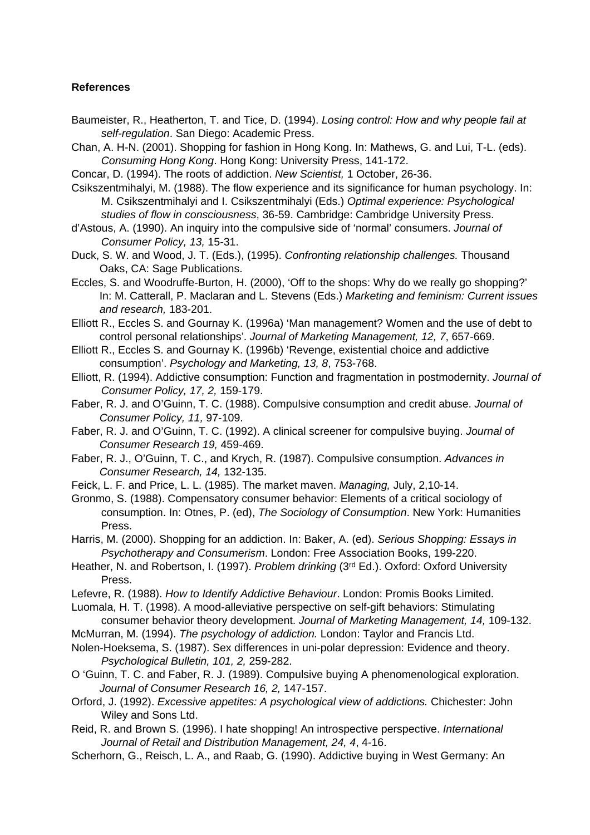#### **References**

- Baumeister, R., Heatherton, T. and Tice, D. (1994). Losing control: How and why people fail at self-regulation. San Diego: Academic Press.
- Chan, A. H-N. (2001). Shopping for fashion in Hong Kong. In: Mathews, G. and Lui, T-L. (eds). Consuming Hong Kong. Hong Kong: University Press, 141-172.
- Concar, D. (1994). The roots of addiction. New Scientist, 1 October, 26-36.
- Csikszentmihalyi, M. (1988). The flow experience and its significance for human psychology. In: M. Csikszentmihalyi and I. Csikszentmihalyi (Eds.) Optimal experience: Psychological studies of flow in consciousness, 36-59. Cambridge: Cambridge University Press.
- d'Astous, A. (1990). An inquiry into the compulsive side of 'normal' consumers. Journal of Consumer Policy, 13, 15-31.
- Duck, S. W. and Wood, J. T. (Eds.), (1995). Confronting relationship challenges. Thousand Oaks, CA: Sage Publications.
- Eccles, S. and Woodruffe-Burton, H. (2000), 'Off to the shops: Why do we really go shopping?' In: M. Catterall, P. Maclaran and L. Stevens (Eds.) Marketing and feminism: Current issues and research, 183-201.
- Elliott R., Eccles S. and Gournay K. (1996a) 'Man management? Women and the use of debt to control personal relationships'. Journal of Marketing Management, 12, 7, 657-669.
- Elliott R., Eccles S. and Gournay K. (1996b) 'Revenge, existential choice and addictive consumption'. Psychology and Marketing, 13, 8, 753-768.
- Elliott, R. (1994). Addictive consumption: Function and fragmentation in postmodernity. Journal of Consumer Policy, 17, 2, 159-179.
- Faber, R. J. and O'Guinn, T. C. (1988). Compulsive consumption and credit abuse. Journal of Consumer Policy, 11, 97-109.
- Faber, R. J. and O'Guinn, T. C. (1992). A clinical screener for compulsive buying. Journal of Consumer Research 19, 459-469.
- Faber, R. J., O'Guinn, T. C., and Krych, R. (1987). Compulsive consumption. Advances in Consumer Research, 14, 132-135.
- Feick, L. F. and Price, L. L. (1985). The market maven. Managing, July, 2,10-14.
- Gronmo, S. (1988). Compensatory consumer behavior: Elements of a critical sociology of consumption. In: Otnes, P. (ed), The Sociology of Consumption. New York: Humanities Press.
- Harris, M. (2000). Shopping for an addiction. In: Baker, A. (ed). Serious Shopping: Essays in Psychotherapy and Consumerism. London: Free Association Books, 199-220.
- Heather, N. and Robertson, I. (1997). Problem drinking (3rd Ed.). Oxford: Oxford University Press.
- Lefevre, R. (1988). How to Identify Addictive Behaviour. London: Promis Books Limited.
- Luomala, H. T. (1998). A mood-alleviative perspective on self-gift behaviors: Stimulating consumer behavior theory development. Journal of Marketing Management, 14, 109-132.
- McMurran, M. (1994). The psychology of addiction. London: Taylor and Francis Ltd.
- Nolen-Hoeksema, S. (1987). Sex differences in uni-polar depression: Evidence and theory. Psychological Bulletin, 101, 2, 259-282.
- O 'Guinn, T. C. and Faber, R. J. (1989). Compulsive buying A phenomenological exploration. Journal of Consumer Research 16, 2, 147-157.
- Orford, J. (1992). Excessive appetites: A psychological view of addictions. Chichester: John Wiley and Sons Ltd.
- Reid, R. and Brown S. (1996). I hate shopping! An introspective perspective. International Journal of Retail and Distribution Management, 24, 4, 4-16.
- Scherhorn, G., Reisch, L. A., and Raab, G. (1990). Addictive buying in West Germany: An